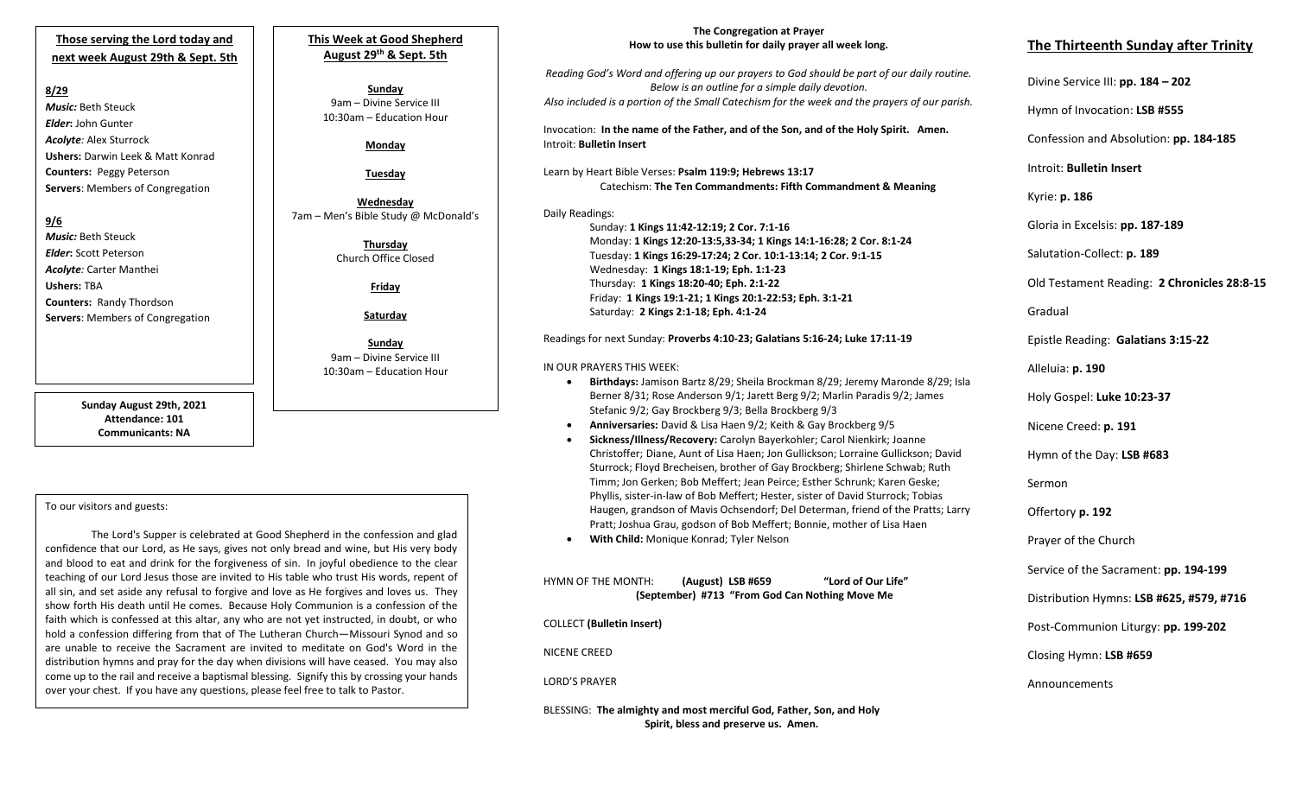## **Those serving the Lord today and next week August 29th & Sept. 5th**

## **8/29**

*Music:* Beth Steuck *Elder***:** John Gunter *Acolyte:* Alex Sturrock **Ushers:** Darwin Leek & Matt Konrad **Counters:** Peggy Peterson **Servers**: Members of Congregation

## **9/6**

*Music:* Beth Steuck *Elder***:** Scott Peterson *Acolyte:* Carter Manthei **Ushers:** TBA **Counters:** Randy Thordson **Servers**: Members of Congregation

> **Sunday August 29th, 2021 Attendance: 101 Communicants: NA**

## To our visitors and guests:

faith which is confessed at this altar, any who are not yet instructed, in doubt, or who The Lord's Supper is celebrated at Good Shepherd in the confession and glad confidence that our Lord, as He says, gives not only bread and wine, but His very body and blood to eat and drink for the forgiveness of sin. In joyful obedience to the clear teaching of our Lord Jesus those are invited to His table who trust His words, repent of all sin, and set aside any refusal to forgive and love as He forgives and loves us. They show forth His death until He comes. Because Holy Communion is a confession of the hold a confession differing from that of The Lutheran Church—Missouri Synod and so are unable to receive the Sacrament are invited to meditate on God's Word in the distribution hymns and pray for the day when divisions will have ceased. You may also come up to the rail and receive a baptismal blessing. Signify this by crossing your hands over your chest. If you have any questions, please feel free to talk to Pastor.

## **This Week at Good Shepherd August 29th & Sept. 5th**

**Sunday** 9am – Divine Service III 10:30am – Education Hour

## **Monday**

**Tuesday**

**Wednesday** 7am – Men's Bible Study @ McDonald's

> **Thursday** Church Office Closed

> > **Friday**

**Saturday**

**Sunday**  9am – Divine Service III 10:30am – Education Hour

#### **The Congregation at Prayer How to use this bulletin for daily prayer all week long.**

*Reading God's Word and offering up our prayers to God should be part of our daily routine. Below is an outline for a simple daily devotion. Also included is a portion of the Small Catechism for the week and the prayers of our parish.*

Invocation: **In the name of the Father, and of the Son, and of the Holy Spirit. Amen.** Introit: **Bulletin Insert**

Learn by Heart Bible Verses: **Psalm 119:9; Hebrews 13:17** Catechism: **The Ten Commandments: Fifth Commandment & Meaning**

Daily Readings: Sunday: **1 Kings 11:42-12:19; 2 Cor. 7:1-16** Monday: **1 Kings 12:20-13:5,33-34; 1 Kings 14:1-16:28; 2 Cor. 8:1-24** Tuesday: **1 Kings 16:29-17:24; 2 Cor. 10:1-13:14; 2 Cor. 9:1-15** Wednesday: **1 Kings 18:1-19; Eph. 1:1-23** Thursday: **1 Kings 18:20-40; Eph. 2:1-22** Friday: **1 Kings 19:1-21; 1 Kings 20:1-22:53; Eph. 3:1-21** Saturday: **2 Kings 2:1-18; Eph. 4:1-24**

Readings for next Sunday: **Proverbs 4:10-23; Galatians 5:16-24; Luke 17:11-19**

#### IN OUR PRAYERS THIS WEEK:

- **Birthdays:** Jamison Bartz 8/29; Sheila Brockman 8/29; Jeremy Maronde 8/29; Isla Berner 8/31; Rose Anderson 9/1; Jarett Berg 9/2; Marlin Paradis 9/2; James Stefanic 9/2; Gay Brockberg 9/3; Bella Brockberg 9/3
- **Anniversaries:** David & Lisa Haen 9/2; Keith & Gay Brockberg 9/5
- Haugen, grandson of Mavis Ochsendorf; Del Determan, friend of the Pratts; Larry • **Sickness/Illness/Recovery:** Carolyn Bayerkohler; Carol Nienkirk; Joanne Christoffer; Diane, Aunt of Lisa Haen; Jon Gullickson; Lorraine Gullickson; David Sturrock; Floyd Brecheisen, brother of Gay Brockberg; Shirlene Schwab; Ruth Timm; Jon Gerken; Bob Meffert; Jean Peirce; Esther Schrunk; Karen Geske; Phyllis, sister-in-law of Bob Meffert; Hester, sister of David Sturrock; Tobias Pratt; Joshua Grau, godson of Bob Meffert; Bonnie, mother of Lisa Haen • **With Child:** Monique Konrad; Tyler Nelson

HYMN OF THE MONTH: **(August) LSB #659 "Lord of Our Life" (September) #713 "From God Can Nothing Move Me**

COLLECT **(Bulletin Insert)**

NICENE CREED

LORD'S PRAYER

BLESSING: **The almighty and most merciful God, Father, Son, and Holy Spirit, bless and preserve us. Amen.**

# **The Thirteenth Sunday after Trinity**

Divine Service III: **pp. 184 – 202**

Hymn of Invocation: **LSB #555**

Confession and Absolution: **pp. 184-185**

Introit: **Bulletin Insert** 

Kyrie: **p. 186**

Gloria in Excelsis: **pp. 187-189**

Salutation-Collect: **p. 189**

Old Testament Reading: **2 Chronicles 28:8-15**

Gradual

Epistle Reading: **Galatians 3:15-22**

Alleluia: **p. 190**

Holy Gospel: **Luke 10:23-37**

Nicene Creed: **p. 191**

Hymn of the Day: **LSB #683**

Sermon

Offertory **p. 192**

Prayer of the Church

Service of the Sacrament: **pp. 194-199**

Distribution Hymns: **LSB #625, #579, #716**

Post-Communion Liturgy: **pp. 199-202** 

Closing Hymn: **LSB #659**

Announcements